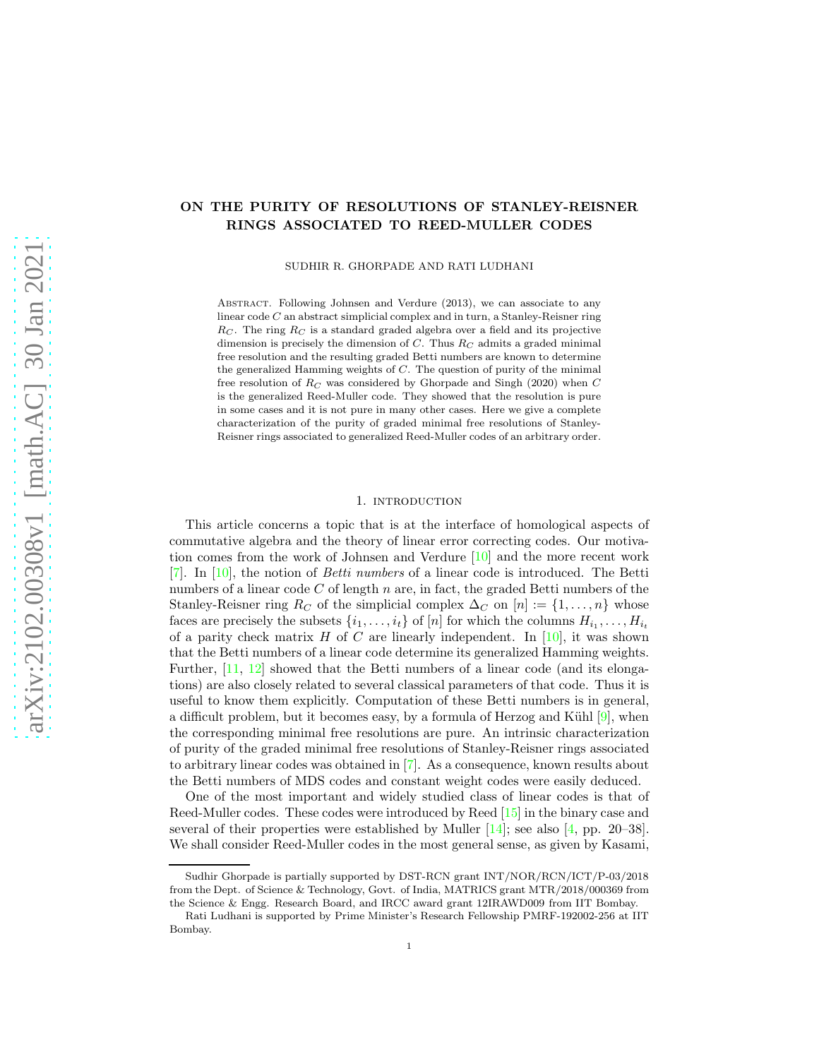# ON THE PURITY OF RESOLUTIONS OF STANLEY-REISNER RINGS ASSOCIATED TO REED-MULLER CODES

SUDHIR R. GHORPADE AND RATI LUDHANI

ABSTRACT. Following Johnsen and Verdure (2013), we can associate to any linear code C an abstract simplicial complex and in turn, a Stanley-Reisner ring  $R_C$ . The ring  $R_C$  is a standard graded algebra over a field and its projective dimension is precisely the dimension of  $C$ . Thus  $R_C$  admits a graded minimal free resolution and the resulting graded Betti numbers are known to determine the generalized Hamming weights of  $C$ . The question of purity of the minimal free resolution of  $R_C$  was considered by Ghorpade and Singh (2020) when C is the generalized Reed-Muller code. They showed that the resolution is pure in some cases and it is not pure in many other cases. Here we give a complete characterization of the purity of graded minimal free resolutions of Stanley-Reisner rings associated to generalized Reed-Muller codes of an arbitrary order.

## 1. INTRODUCTION

This article concerns a topic that is at the interface of homological aspects of commutative algebra and the theory of linear error correcting codes. Our motivation comes from the work of Johnsen and Verdure [\[10\]](#page-7-0) and the more recent work [\[7\]](#page-7-1). In [\[10\]](#page-7-0), the notion of *Betti numbers* of a linear code is introduced. The Betti numbers of a linear code  $C$  of length  $n$  are, in fact, the graded Betti numbers of the Stanley-Reisner ring  $R_C$  of the simplicial complex  $\Delta_C$  on  $[n] := \{1, \ldots, n\}$  whose faces are precisely the subsets  $\{i_1, \ldots, i_t\}$  of  $[n]$  for which the columns  $H_{i_1}, \ldots, H_{i_t}$ of a parity check matrix  $H$  of  $C$  are linearly independent. In [\[10\]](#page-7-0), it was shown that the Betti numbers of a linear code determine its generalized Hamming weights. Further, [\[11,](#page-7-2) [12\]](#page-7-3) showed that the Betti numbers of a linear code (and its elongations) are also closely related to several classical parameters of that code. Thus it is useful to know them explicitly. Computation of these Betti numbers is in general, a difficult problem, but it becomes easy, by a formula of Herzog and Kühl  $[9]$ , when the corresponding minimal free resolutions are pure. An intrinsic characterization of purity of the graded minimal free resolutions of Stanley-Reisner rings associated to arbitrary linear codes was obtained in [\[7\]](#page-7-1). As a consequence, known results about the Betti numbers of MDS codes and constant weight codes were easily deduced.

One of the most important and widely studied class of linear codes is that of Reed-Muller codes. These codes were introduced by Reed [\[15\]](#page-7-5) in the binary case and several of their properties were established by Muller  $[14]$ ; see also  $[4, pp. 20-38]$ . We shall consider Reed-Muller codes in the most general sense, as given by Kasami,

Sudhir Ghorpade is partially supported by DST-RCN grant INT/NOR/RCN/ICT/P-03/2018 from the Dept. of Science & Technology, Govt. of India, MATRICS grant MTR/2018/000369 from the Science & Engg. Research Board, and IRCC award grant 12IRAWD009 from IIT Bombay.

Rati Ludhani is supported by Prime Minister's Research Fellowship PMRF-192002-256 at IIT Bombay.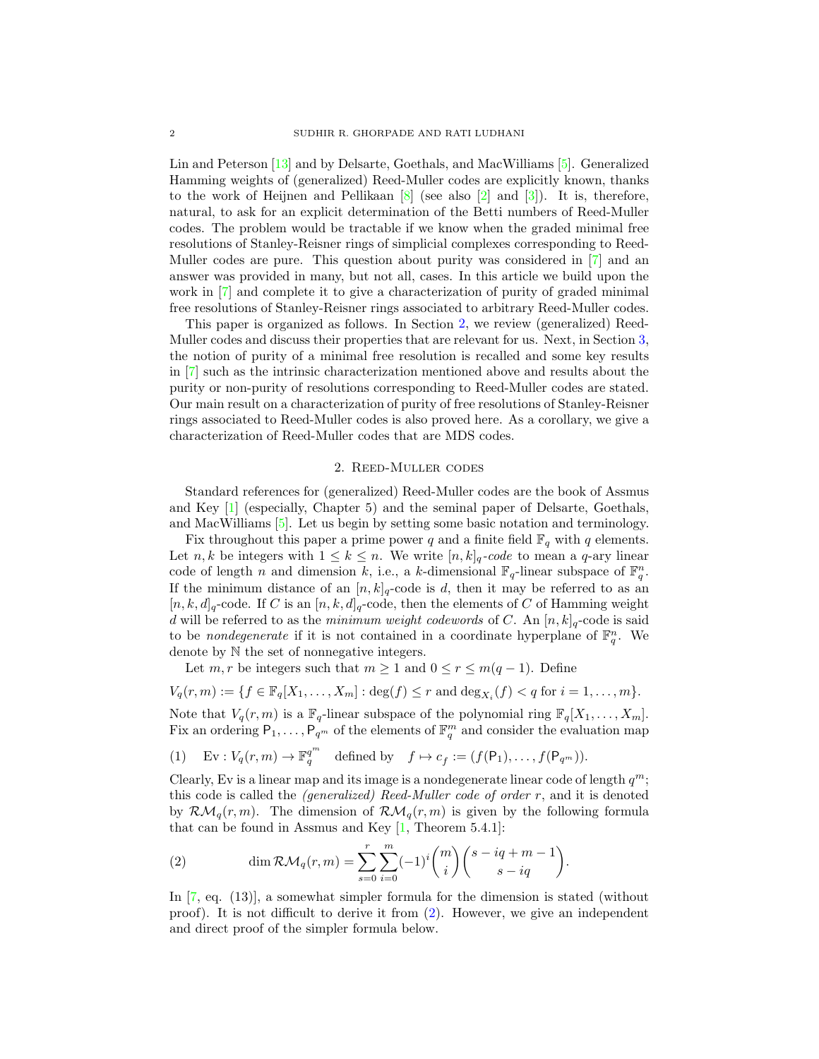Lin and Peterson [\[13\]](#page-7-8) and by Delsarte, Goethals, and MacWilliams [\[5\]](#page-7-9). Generalized Hamming weights of (generalized) Reed-Muller codes are explicitly known, thanks to the work of Heijnen and Pellikaan  $[8]$  (see also  $[2]$  and  $[3]$ ). It is, therefore, natural, to ask for an explicit determination of the Betti numbers of Reed-Muller codes. The problem would be tractable if we know when the graded minimal free resolutions of Stanley-Reisner rings of simplicial complexes corresponding to Reed-Muller codes are pure. This question about purity was considered in [\[7\]](#page-7-1) and an answer was provided in many, but not all, cases. In this article we build upon the work in [\[7\]](#page-7-1) and complete it to give a characterization of purity of graded minimal free resolutions of Stanley-Reisner rings associated to arbitrary Reed-Muller codes.

This paper is organized as follows. In Section [2,](#page-1-0) we review (generalized) Reed-Muller codes and discuss their properties that are relevant for us. Next, in Section [3,](#page-4-0) the notion of purity of a minimal free resolution is recalled and some key results in [\[7\]](#page-7-1) such as the intrinsic characterization mentioned above and results about the purity or non-purity of resolutions corresponding to Reed-Muller codes are stated. Our main result on a characterization of purity of free resolutions of Stanley-Reisner rings associated to Reed-Muller codes is also proved here. As a corollary, we give a characterization of Reed-Muller codes that are MDS codes.

## 2. Reed-Muller codes

<span id="page-1-0"></span>Standard references for (generalized) Reed-Muller codes are the book of Assmus and Key [\[1\]](#page-7-13) (especially, Chapter 5) and the seminal paper of Delsarte, Goethals, and MacWilliams [\[5\]](#page-7-9). Let us begin by setting some basic notation and terminology.

Fix throughout this paper a prime power q and a finite field  $\mathbb{F}_q$  with q elements. Let *n*, *k* be integers with  $1 \leq k \leq n$ . We write  $[n, k]_q$ -code to mean a q-ary linear code of length n and dimension k, i.e., a k-dimensional  $\mathbb{F}_q$ -linear subspace of  $\mathbb{F}_q^n$ . If the minimum distance of an  $[n, k]_q$ -code is d, then it may be referred to as an  $[n, k, d]_q$ -code. If C is an  $[n, k, d]_q$ -code, then the elements of C of Hamming weight d will be referred to as the *minimum weight codewords* of C. An  $[n, k]_q$ -code is said to be *nondegenerate* if it is not contained in a coordinate hyperplane of  $\mathbb{F}_q^n$ . We denote by N the set of nonnegative integers.

Let  $m, r$  be integers such that  $m \geq 1$  and  $0 \leq r \leq m(q-1)$ . Define

$$
V_q(r,m) := \{ f \in \mathbb{F}_q[X_1,\ldots,X_m] : \deg(f) \le r \text{ and } \deg_{X_i}(f) < q \text{ for } i = 1,\ldots,m \}.
$$

Note that  $V_q(r,m)$  is a  $\mathbb{F}_q$ -linear subspace of the polynomial ring  $\mathbb{F}_q[X_1,\ldots,X_m]$ . Fix an ordering  $P_1, \ldots, P_{q^m}$  of the elements of  $\mathbb{F}_q^m$  and consider the evaluation map

<span id="page-1-2"></span>(1) 
$$
Ev: V_q(r,m) \to \mathbb{F}_q^{q^m} \text{ defined by } f \mapsto c_f := (f(\mathsf{P}_1), \dots, f(\mathsf{P}_{q^m})).
$$

Clearly, Ev is a linear map and its image is a nondegenerate linear code of length  $q^m$ ; this code is called the *(generalized) Reed-Muller code of order* r, and it is denoted by  $\mathcal{RM}_q(r,m)$ . The dimension of  $\mathcal{RM}_q(r,m)$  is given by the following formula that can be found in Assmus and Key  $[1,$  Theorem 5.4.1]:

<span id="page-1-1"></span>(2) 
$$
\dim \mathcal{RM}_q(r,m) = \sum_{s=0}^r \sum_{i=0}^m (-1)^i \binom{m}{i} \binom{s-iq+m-1}{s-iq}.
$$

In [\[7,](#page-7-1) eq. (13)], a somewhat simpler formula for the dimension is stated (without proof). It is not difficult to derive it from [\(2\)](#page-1-1). However, we give an independent and direct proof of the simpler formula below.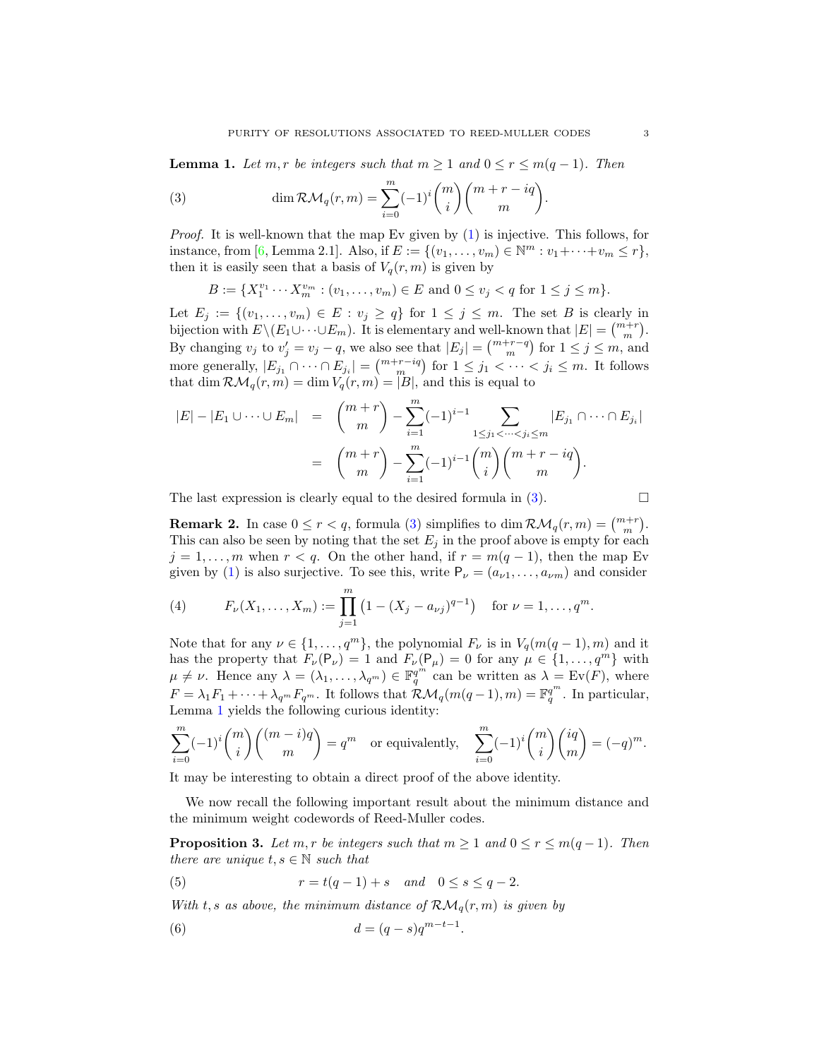<span id="page-2-1"></span>**Lemma 1.** Let  $m, r$  be integers such that  $m \geq 1$  and  $0 \leq r \leq m(q-1)$ . Then

<span id="page-2-0"></span>(3) 
$$
\dim \mathcal{RM}_q(r,m) = \sum_{i=0}^m (-1)^i \binom{m}{i} \binom{m+r-iq}{m}.
$$

*Proof.* It is well-known that the map Ev given by [\(1\)](#page-1-2) is injective. This follows, for instance, from [\[6,](#page-7-14) Lemma 2.1]. Also, if  $E := \{(v_1, ..., v_m) \in \mathbb{N}^m : v_1 + ... + v_m \le r\},\$ then it is easily seen that a basis of  $V_q(r, m)$  is given by

$$
B := \{X_1^{v_1} \cdots X_m^{v_m} : (v_1, \ldots, v_m) \in E \text{ and } 0 \le v_j < q \text{ for } 1 \le j \le m\}.
$$

Let  $E_j := \{(v_1, \ldots, v_m) \in E : v_j \geq q\}$  for  $1 \leq j \leq m$ . The set B is clearly in bijection with  $E \setminus (E_1 \cup \cdots \cup E_m)$ . It is elementary and well-known that  $|E| = {m+r \choose m}$ . By changing  $v_j$  to  $v'_j = v_j - q$ , we also see that  $|E_j| = {m+r-q \choose m}$  for  $1 \le j \le m$ , and more generally,  $|E_{j_1} \cap \cdots \cap E_{j_i}| = \binom{m+r-iq}{m}$  for  $1 \leq j_1 < \cdots < j_i \leq m$ . It follows that dim  $\mathcal{RM}_q(r,m) = \dim V_q(r,m) = |B|$ , and this is equal to

$$
|E| - |E_1 \cup \cdots \cup E_m| = {m+r \choose m} - \sum_{i=1}^m (-1)^{i-1} \sum_{1 \le j_1 < \cdots < j_i \le m} |E_{j_1} \cap \cdots \cap E_{j_i}|
$$
  
=  ${m+r \choose m} - \sum_{i=1}^m (-1)^{i-1} {m \choose i} {m+r-iq \choose m}.$ 

The last expression is clearly equal to the desired formula in  $(3)$ .

<span id="page-2-3"></span>**Remark 2.** In case  $0 \le r < q$ , formula [\(3\)](#page-2-0) simplifies to dim  $\mathcal{RM}_q(r,m) = \binom{m+r}{m}$ . This can also be seen by noting that the set  $E_j$  in the proof above is empty for each  $j = 1, \ldots, m$  when  $r < q$ . On the other hand, if  $r = m(q - 1)$ , then the map Ev given by [\(1\)](#page-1-2) is also surjective. To see this, write  $P_{\nu} = (a_{\nu 1}, \dots, a_{\nu m})$  and consider

<span id="page-2-5"></span>(4) 
$$
F_{\nu}(X_1,\ldots,X_m):=\prod_{j=1}^m\left(1-(X_j-a_{\nu j})^{q-1}\right) \text{ for } \nu=1,\ldots,q^m.
$$

Note that for any  $\nu \in \{1, \ldots, q^m\}$ , the polynomial  $F_{\nu}$  is in  $V_q(m(q-1), m)$  and it has the property that  $F_{\nu}(\mathsf{P}_{\nu}) = 1$  and  $F_{\nu}(\mathsf{P}_{\mu}) = 0$  for any  $\mu \in \{1, ..., q^m\}$  with  $\mu \neq \nu$ . Hence any  $\lambda = (\lambda_1, \ldots, \lambda_{q^m}) \in \mathbb{F}_q^{q^m}$  can be written as  $\lambda = \text{Ev}(F)$ , where  $F = \lambda_1 F_1 + \cdots + \lambda_{q^m} F_{q^m}$ . It follows that  $\mathcal{RM}_q(m(q-1), m) = \mathbb{F}_q^{q^m}$ . In particular, Lemma [1](#page-2-1) yields the following curious identity:

$$
\sum_{i=0}^{m} (-1)^{i} {m \choose i} {m-i)q \choose m} = q^{m}
$$
 or equivalently, 
$$
\sum_{i=0}^{m} (-1)^{i} {m \choose i} {iq \choose m} = (-q)^{m}.
$$

It may be interesting to obtain a direct proof of the above identity.

We now recall the following important result about the minimum distance and the minimum weight codewords of Reed-Muller codes.

<span id="page-2-4"></span>**Proposition 3.** Let  $m, r$  be integers such that  $m \geq 1$  and  $0 \leq r \leq m(q-1)$ . Then *there are unique*  $t, s \in \mathbb{N}$  *such that* 

<span id="page-2-2"></span>.

<span id="page-2-6"></span>(5) 
$$
r = t(q-1) + s \quad and \quad 0 \le s \le q-2.
$$

*With* t, s as above, the minimum distance of  $\mathcal{RM}_q(r,m)$  is given by

$$
(6) \t\t d = (q - s)q^{m-t-1}
$$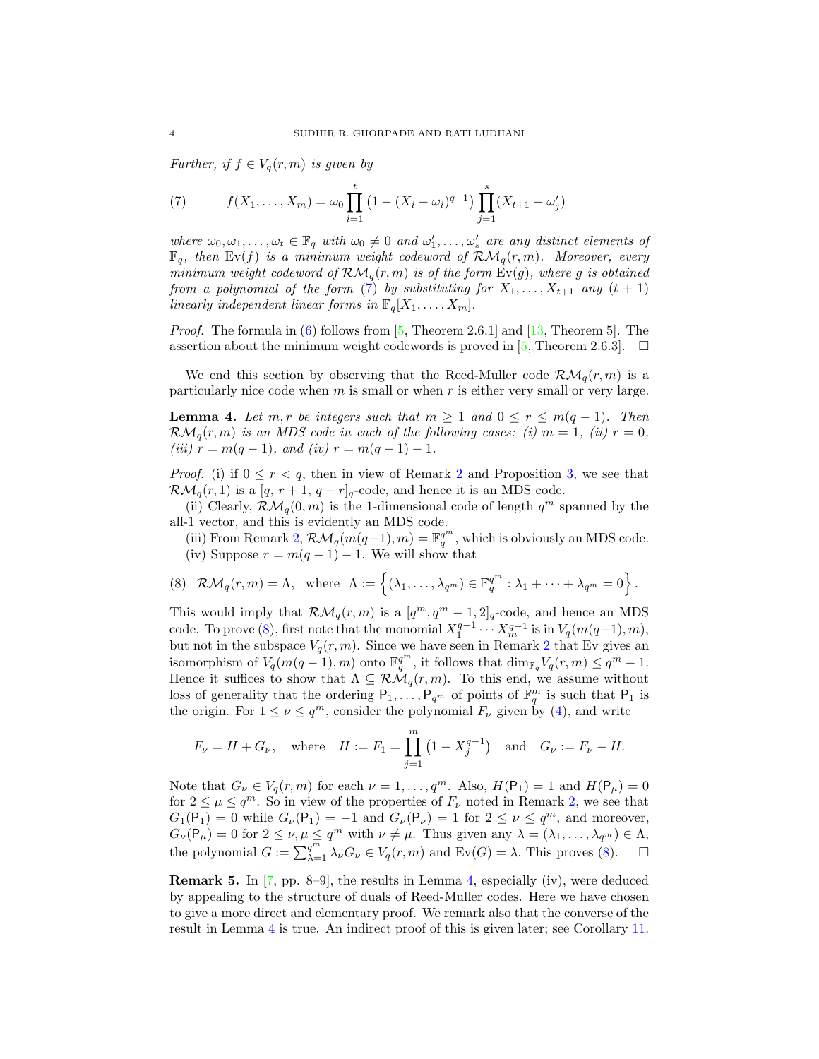*Further, if*  $f \in V_q(r, m)$  *is given by* 

<span id="page-3-0"></span>(7) 
$$
f(X_1,\ldots,X_m)=\omega_0\prod_{i=1}^t\left(1-(X_i-\omega_i)^{q-1}\right)\prod_{j=1}^s(X_{t+1}-\omega'_j)
$$

*where*  $\omega_0, \omega_1, \ldots, \omega_t \in \mathbb{F}_q$  *with*  $\omega_0 \neq 0$  *and*  $\omega'_1, \ldots, \omega'_s$  *are any distinct elements of*  $\mathbb{F}_q$ , then  $Ev(f)$  *is a minimum weight codeword of*  $\mathcal{RM}_q(r,m)$ *. Moreover, every minimum weight codeword of*  $\mathcal{RM}_q(r,m)$  *is of the form*  $Ev(q)$ *, where g is obtained from a polynomial of the form* [\(7\)](#page-3-0) *by substituting for*  $X_1, \ldots, X_{t+1}$  *any*  $(t + 1)$ *linearly independent linear forms in*  $\mathbb{F}_q[X_1, \ldots, X_m]$ *.* 

*Proof.* The formula in [\(6\)](#page-2-2) follows from [\[5,](#page-7-9) Theorem 2.6.1] and [\[13,](#page-7-8) Theorem 5]. The assertion about the minimum weight codewords is proved in [\[5,](#page-7-9) Theorem 2.6.3].  $\Box$ 

We end this section by observing that the Reed-Muller code  $\mathcal{RM}_q(r,m)$  is a particularly nice code when  $m$  is small or when  $r$  is either very small or very large.

<span id="page-3-2"></span>**Lemma 4.** Let  $m, r$  be integers such that  $m \geq 1$  and  $0 \leq r \leq m(q-1)$ . Then  $\mathcal{RM}_q(r,m)$  *is an MDS code in each of the following cases: (i)*  $m = 1$ *, (ii)*  $r = 0$ *,*  $(iii)$   $r = m(q - 1)$ *, and (iv)*  $r = m(q - 1) - 1$ *.* 

*Proof.* (i) if  $0 \leq r \leq q$ , then in view of Remark [2](#page-2-3) and Proposition [3,](#page-2-4) we see that  $\mathcal{RM}_q(r,1)$  is a  $[q, r+1, q-r]_q$ -code, and hence it is an MDS code.

(ii) Clearly,  $\mathcal{RM}_q(0,m)$  is the 1-dimensional code of length  $q^m$  spanned by the all-1 vector, and this is evidently an MDS code.

(iii) From Remark [2,](#page-2-3)  $\mathcal{RM}_q(m(q-1), m) = \mathbb{F}_q^{q^m}$ , which is obviously an MDS code. (iv) Suppose  $r = m(q-1) - 1$ . We will show that

<span id="page-3-1"></span>(8) 
$$
\mathcal{RM}_q(r,m) = \Lambda
$$
, where  $\Lambda := \{(\lambda_1, ..., \lambda_{q^m}) \in \mathbb{F}_q^{q^m} : \lambda_1 + \cdots + \lambda_{q^m} = 0\}$ .

This would imply that  $\mathcal{RM}_q(r,m)$  is a  $[q^m, q^m-1, 2]_q$ -code, and hence an MDS code. To prove [\(8\)](#page-3-1), first note that the monomial  $X_1^{q-1} \cdots X_m^{q-1}$  is in  $V_q(m(q-1), m)$ , but not in the subspace  $V_q(r, m)$ . Since we have seen in Remark [2](#page-2-3) that Ev gives an isomorphism of  $V_q(m(q-1), m)$  onto  $\mathbb{F}_q^{q^m}$ , it follows that  $\dim_{\mathbb{F}_q} V_q(r, m) \leq q^m - 1$ . Hence it suffices to show that  $\Lambda \subseteq \mathcal{RM}_q(r,m)$ . To this end, we assume without loss of generality that the ordering  $P_1, \ldots, P_{q^m}$  of points of  $\mathbb{F}_q^m$  is such that  $P_1$  is the origin. For  $1 \leq \nu \leq q^m$ , consider the polynomial  $F_{\nu}$  given by [\(4\)](#page-2-5), and write

$$
F_{\nu} = H + G_{\nu}
$$
, where  $H := F_1 = \prod_{j=1}^{m} (1 - X_j^{q-1})$  and  $G_{\nu} := F_{\nu} - H$ .

Note that  $G_{\nu} \in V_q(r,m)$  for each  $\nu = 1, \ldots, q^m$ . Also,  $H(\mathsf{P}_1) = 1$  and  $H(\mathsf{P}_{\mu}) = 0$ for  $2 \leq \mu \leq q^m$ . So in view of the properties of  $F_{\nu}$  noted in Remark [2,](#page-2-3) we see that  $G_1(\mathsf{P}_1) = 0$  while  $G_\nu(\mathsf{P}_1) = -1$  and  $G_\nu(\mathsf{P}_\nu) = 1$  for  $2 \leq \nu \leq q^m$ , and moreover,  $G_{\nu}(\mathsf{P}_{\mu})=0$  for  $2 \leq \nu, \mu \leq q^m$  with  $\nu \neq \mu$ . Thus given any  $\lambda = (\lambda_1, \ldots, \lambda_{q^m}) \in \Lambda$ , the polynomial  $G := \sum_{\lambda=1}^{q^m} \lambda_{\nu} G_{\nu} \in V_q(r, m)$  and  $Ev(G) = \lambda$ . This proves [\(8\)](#page-3-1).  $\Box$ 

**Remark 5.** In  $[7, pp. 8-9]$ , the results in Lemma [4,](#page-3-2) especially (iv), were deduced by appealing to the structure of duals of Reed-Muller codes. Here we have chosen to give a more direct and elementary proof. We remark also that the converse of the result in Lemma [4](#page-3-2) is true. An indirect proof of this is given later; see Corollary [11.](#page-7-15)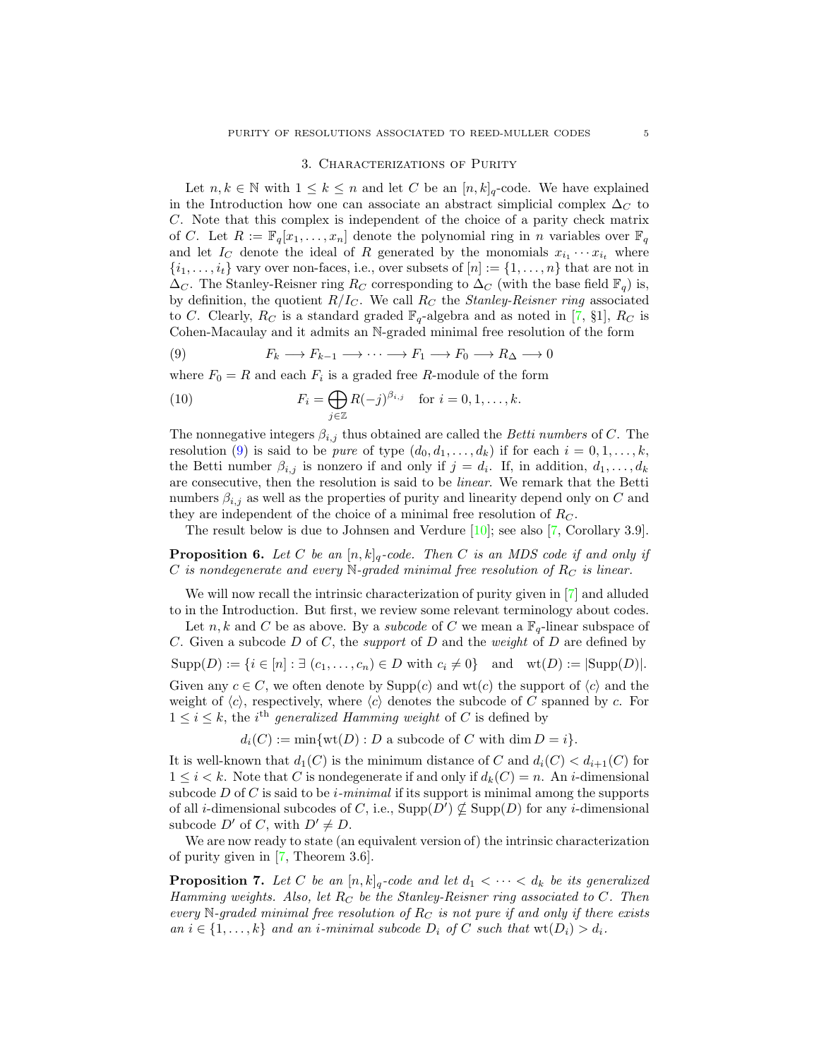#### 3. Characterizations of Purity

<span id="page-4-0"></span>Let  $n, k \in \mathbb{N}$  with  $1 \leq k \leq n$  and let C be an  $[n, k]_q$ -code. We have explained in the Introduction how one can associate an abstract simplicial complex  $\Delta_C$  to C. Note that this complex is independent of the choice of a parity check matrix of C. Let  $R := \mathbb{F}_q[x_1, \ldots, x_n]$  denote the polynomial ring in n variables over  $\mathbb{F}_q$ and let  $I_C$  denote the ideal of R generated by the monomials  $x_{i_1} \cdots x_{i_t}$  where  $\{i_1, \ldots, i_t\}$  vary over non-faces, i.e., over subsets of  $[n] := \{1, \ldots, n\}$  that are not in  $\Delta_C$ . The Stanley-Reisner ring  $R_C$  corresponding to  $\Delta_C$  (with the base field  $\mathbb{F}_q$ ) is, by definition, the quotient  $R/I<sub>C</sub>$ . We call  $R<sub>C</sub>$  the *Stanley-Reisner ring* associated to C. Clearly,  $R_C$  is a standard graded  $\mathbb{F}_q$ -algebra and as noted in [\[7,](#page-7-1) §1],  $R_C$  is Cohen-Macaulay and it admits an N-graded minimal free resolution of the form

<span id="page-4-1"></span>(9) 
$$
F_k \longrightarrow F_{k-1} \longrightarrow \cdots \longrightarrow F_1 \longrightarrow F_0 \longrightarrow R_{\Delta} \longrightarrow 0
$$

where  $F_0 = R$  and each  $F_i$  is a graded free R-module of the form

(10) 
$$
F_i = \bigoplus_{j \in \mathbb{Z}} R(-j)^{\beta_{i,j}} \quad \text{for } i = 0, 1, \dots, k.
$$

The nonnegative integers  $\beta_{i,j}$  thus obtained are called the *Betti numbers* of C. The resolution [\(9\)](#page-4-1) is said to be *pure* of type  $(d_0, d_1, \ldots, d_k)$  if for each  $i = 0, 1, \ldots, k$ , the Betti number  $\beta_{i,j}$  is nonzero if and only if  $j = d_i$ . If, in addition,  $d_1, \ldots, d_k$ are consecutive, then the resolution is said to be *linear*. We remark that the Betti numbers  $\beta_{i,j}$  as well as the properties of purity and linearity depend only on C and they are independent of the choice of a minimal free resolution of  $R_C$ .

The result below is due to Johnsen and Verdure [\[10\]](#page-7-0); see also [\[7,](#page-7-1) Corollary 3.9].

<span id="page-4-3"></span>**Proposition 6.** Let C be an  $[n, k]_q$ -code. Then C is an MDS code if and only if C *is nondegenerate and every* N*-graded minimal free resolution of* R<sup>C</sup> *is linear.*

We will now recall the intrinsic characterization of purity given in [\[7\]](#page-7-1) and alluded to in the Introduction. But first, we review some relevant terminology about codes.

Let n, k and C be as above. By a *subcode* of C we mean a  $\mathbb{F}_q$ -linear subspace of C. Given a subcode D of C, the *support* of D and the *weight* of D are defined by  $Supp(D) := \{i \in [n] : \exists (c_1, \ldots, c_n) \in D \text{ with } c_i \neq 0\} \text{ and } wt(D) := |\text{Supp}(D)|.$ Given any  $c \in C$ , we often denote by  $\text{Supp}(c)$  and  $\text{wt}(c)$  the support of  $\langle c \rangle$  and the weight of  $\langle c \rangle$ , respectively, where  $\langle c \rangle$  denotes the subcode of C spanned by c. For  $1 \leq i \leq k$ , the *i*<sup>th</sup> generalized Hamming weight of C is defined by

 $d_i(C) := \min \{ \text{wt}(D) : D \text{ a subcode of } C \text{ with } \dim D = i \}.$ 

It is well-known that  $d_1(C)$  is the minimum distance of C and  $d_i(C) < d_{i+1}(C)$  for  $1 \leq i \leq k$ . Note that C is nondegenerate if and only if  $d_k(C) = n$ . An *i*-dimensional subcode D of C is said to be i*-minimal* if its support is minimal among the supports of all *i*-dimensional subcodes of C, i.e.,  $\text{Supp}(D') \nsubseteq \text{Supp}(D)$  for any *i*-dimensional subcode  $D'$  of C, with  $D' \neq D$ .

We are now ready to state (an equivalent version of) the intrinsic characterization of purity given in [\[7,](#page-7-1) Theorem 3.6].

<span id="page-4-2"></span>**Proposition 7.** Let C be an  $[n, k]_q$ -code and let  $d_1 < \cdots < d_k$  be its generalized *Hamming weights. Also, let*  $R_C$  *be the Stanley-Reisner ring associated to* C. Then *every* N-graded minimal free resolution of  $R_C$  is not pure if and only if there exists *an*  $i \in \{1, \ldots, k\}$  *and an i-minimal subcode*  $D_i$  *of*  $C$  *such that*  $wt(D_i) > d_i$ *.*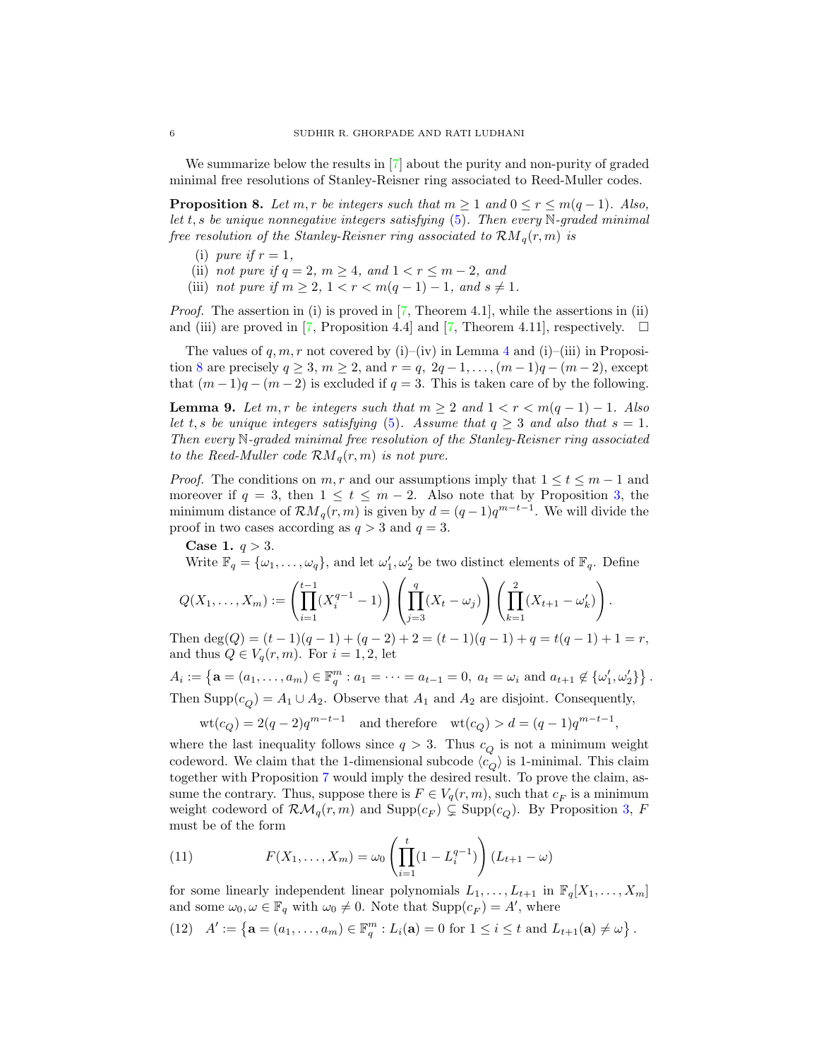We summarize below the results in [\[7\]](#page-7-1) about the purity and non-purity of graded minimal free resolutions of Stanley-Reisner ring associated to Reed-Muller codes.

<span id="page-5-0"></span>**Proposition 8.** *Let*  $m, r$  *be integers such that*  $m \geq 1$  *and*  $0 \leq r \leq m(q-1)$ *. Also, let* t, s *be unique nonnegative integers satisfying* [\(5\)](#page-2-6)*. Then every* N*-graded minimal free resolution of the Stanley-Reisner ring associated to*  $\mathcal{R}M_q(r,m)$  *is* 

- (i) *pure* if  $r = 1$ ,
- (ii) *not pure if*  $q = 2, m \ge 4$ *, and*  $1 < r \le m 2$ *, and*
- (iii) *not pure if*  $m \geq 2, 1 < r < m(q-1) 1,$  and  $s \neq 1$ .

*Proof.* The assertion in (i) is proved in [\[7,](#page-7-1) Theorem 4.1], while the assertions in (ii) and (iii) are proved in [\[7,](#page-7-1) Proposition 4.4] and [7, Theorem 4.11], respectively.  $\square$ 

The values of  $q, m, r$  not covered by (i)–(iv) in Lemma [4](#page-3-2) and (i)–(iii) in Proposi-tion [8](#page-5-0) are precisely  $q \ge 3$ ,  $m \ge 2$ , and  $r = q$ ,  $2q - 1, \ldots, (m - 1)q - (m - 2)$ , except that  $(m-1)q - (m-2)$  is excluded if  $q = 3$ . This is taken care of by the following.

<span id="page-5-3"></span>**Lemma 9.** Let  $m, r$  be integers such that  $m \geq 2$  and  $1 < r < m(q-1) - 1$ . Also *let*  $t, s$  *be unique integers satisfying* [\(5\)](#page-2-6)*.* Assume that  $q \geq 3$  *and also that*  $s = 1$ *. Then every* N*-graded minimal free resolution of the Stanley-Reisner ring associated to the Reed-Muller code*  $\mathcal{R}M_q(r,m)$  *is not pure.* 

*Proof.* The conditions on m, r and our assumptions imply that  $1 \le t \le m-1$  and moreover if  $q = 3$ , then  $1 \le t \le m - 2$ . Also note that by Proposition [3,](#page-2-4) the minimum distance of  $\mathcal{R}M_q(r,m)$  is given by  $d = (q-1)q^{m-t-1}$ . We will divide the proof in two cases according as  $q > 3$  and  $q = 3$ .

**Case 1.**  $q > 3$ .

Write  $\mathbb{F}_q = {\omega_1, \ldots, \omega_q}$ , and let  $\omega'_1, \omega'_2$  be two distinct elements of  $\mathbb{F}_q$ . Define

$$
Q(X_1, \ldots, X_m) := \left( \prod_{i=1}^{t-1} (X_i^{q-1} - 1) \right) \left( \prod_{j=3}^q (X_t - \omega_j) \right) \left( \prod_{k=1}^2 (X_{t+1} - \omega'_k) \right).
$$

Then deg(Q) =  $(t-1)(q-1) + (q-2) + 2 = (t-1)(q-1) + q = t(q-1) + 1 = r$ , and thus  $Q \in V_q(r, m)$ . For  $i = 1, 2$ , let

 $A_i := \{ \mathbf{a} = (a_1, \dots, a_m) \in \mathbb{F}_q^m : a_1 = \dots = a_{t-1} = 0, \ a_t = \omega_i \text{ and } a_{t+1} \notin \{\omega'_1, \omega'_2\} \}$ . Then Supp $(c_{\Omega}) = A_1 \cup A_2$ . Observe that  $A_1$  and  $A_2$  are disjoint. Consequently,

$$
\text{wt}(c_Q) = 2(q-2)q^{m-t-1} \quad \text{and therefore} \quad \text{wt}(c_Q) > d = (q-1)q^{m-t-1},
$$

where the last inequality follows since  $q > 3$ . Thus  $c_Q$  is not a minimum weight codeword. We claim that the 1-dimensional subcode  $\langle c_Q \rangle$  is 1-minimal. This claim together with Proposition [7](#page-4-2) would imply the desired result. To prove the claim, assume the contrary. Thus, suppose there is  $F \in V_q(r, m)$ , such that  $c_F$  is a minimum weight codeword of  $\mathcal{RM}_q(r,m)$  and  $\text{Supp}(c_F) \subsetneq \text{Supp}(c_Q)$ . By Proposition [3,](#page-2-4) F must be of the form

<span id="page-5-1"></span>(11) 
$$
F(X_1, ..., X_m) = \omega_0 \left( \prod_{i=1}^t (1 - L_i^{q-1}) \right) (L_{t+1} - \omega)
$$

for some linearly independent linear polynomials  $L_1, \ldots, L_{t+1}$  in  $\mathbb{F}_q[X_1, \ldots, X_m]$ and some  $\omega_0, \omega \in \mathbb{F}_q$  with  $\omega_0 \neq 0$ . Note that  $\text{Supp}(c_F) = A'$ , where

<span id="page-5-2"></span>(12)  $A' := \{ \mathbf{a} = (a_1, \dots, a_m) \in \mathbb{F}_q^m : L_i(\mathbf{a}) = 0 \text{ for } 1 \le i \le t \text{ and } L_{t+1}(\mathbf{a}) \ne \omega \}$ .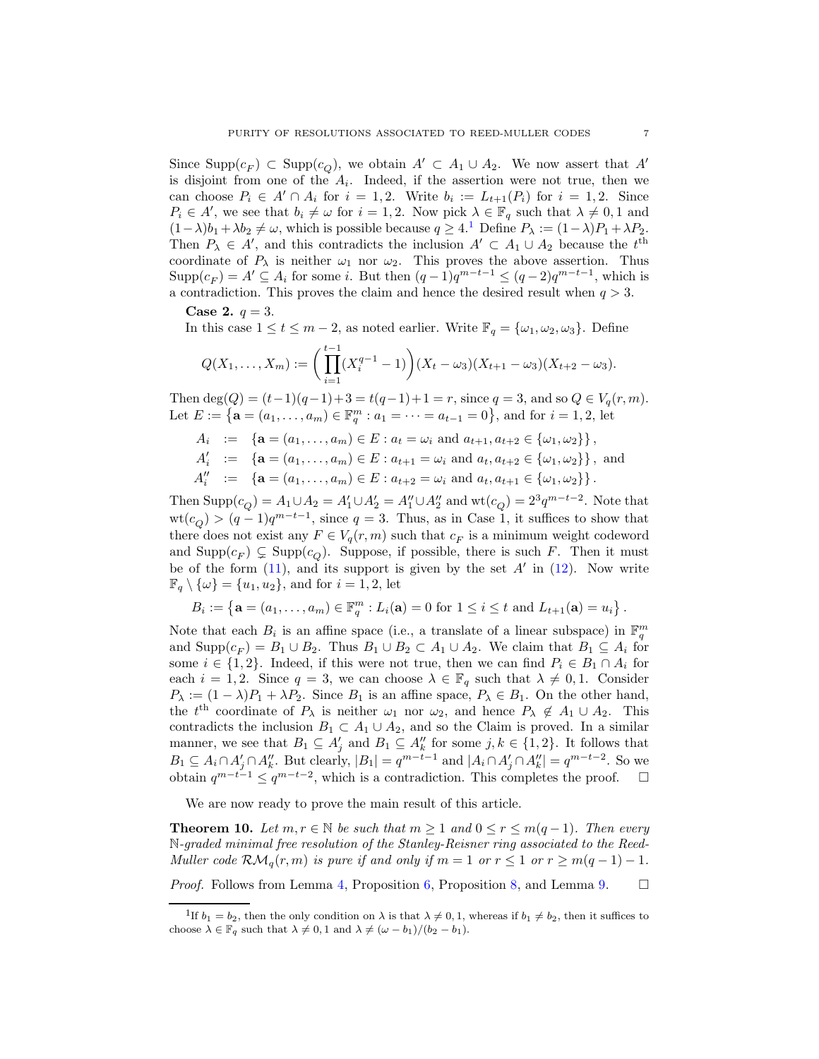Since  $\text{Supp}(c_F) \subset \text{Supp}(c_Q)$ , we obtain  $A' \subset A_1 \cup A_2$ . We now assert that  $A'$ is disjoint from one of the  $A_i$ . Indeed, if the assertion were not true, then we can choose  $P_i \in A' \cap A_i$  for  $i = 1, 2$ . Write  $b_i := L_{t+1}(P_i)$  for  $i = 1, 2$ . Since  $P_i \in A'$ , we see that  $b_i \neq \omega$  for  $i = 1, 2$ . Now pick  $\lambda \in \mathbb{F}_q$  such that  $\lambda \neq 0, 1$  and  $(1-\lambda)b_1 + \lambda b_2 \neq \omega$  $(1-\lambda)b_1 + \lambda b_2 \neq \omega$  $(1-\lambda)b_1 + \lambda b_2 \neq \omega$ , which is possible because  $q \geq 4$ .<sup>1</sup> Define  $P_{\lambda} := (1-\lambda)P_1 + \lambda P_2$ . Then  $P_{\lambda} \in A'$ , and this contradicts the inclusion  $A' \subset A_1 \cup A_2$  because the  $t<sup>th</sup>$ coordinate of  $P_\lambda$  is neither  $\omega_1$  nor  $\omega_2$ . This proves the above assertion. Thus  $\text{Supp}(c_F) = A' \subseteq A_i$  for some i. But then  $(q-1)q^{m-t-1} \leq (q-2)q^{m-t-1}$ , which is a contradiction. This proves the claim and hence the desired result when  $q > 3$ .

**Case 2.**  $q = 3$ .

In this case  $1 \le t \le m-2$ , as noted earlier. Write  $\mathbb{F}_q = {\omega_1, \omega_2, \omega_3}$ . Define

$$
Q(X_1,\ldots,X_m):=\bigg(\prod_{i=1}^{t-1}(X_i^{q-1}-1)\bigg)(X_t-\omega_3)(X_{t+1}-\omega_3)(X_{t+2}-\omega_3).
$$

Then deg(Q) =  $(t-1)(q-1)+3 = t(q-1)+1 = r$ , since  $q = 3$ , and so  $Q \in V_q(r, m)$ . Let  $E := \{ \mathbf{a} = (a_1, \dots, a_m) \in \mathbb{F}_q^m : a_1 = \dots = a_{t-1} = 0 \},\$ and for  $i = 1, 2$ , let

- $A_i$  := { $\mathbf{a} = (a_1, \ldots, a_m) \in E : a_t = \omega_i \text{ and } a_{t+1}, a_{t+2} \in {\{\omega_1, \omega_2\}}\},$
- $A'_i := \{ \mathbf{a} = (a_1, \dots, a_m) \in E : a_{t+1} = \omega_i \text{ and } a_t, a_{t+2} \in \{\omega_1, \omega_2\} \}, \text{ and}$
- $A''_i := \{ \mathbf{a} = (a_1, \dots, a_m) \in E : a_{t+2} = \omega_i \text{ and } a_t, a_{t+1} \in \{\omega_1, \omega_2\} \}.$

Then  $\text{Supp}(c_Q) = A_1 \cup A_2 = A'_1 \cup A'_2 = A''_1 \cup A''_2$  and  $\text{wt}(c_Q) = 2^3 q^{m-t-2}$ . Note that  $wt(c_Q) > (q-1)q^{m-t-1}$ , since  $q = 3$ . Thus, as in Case 1, it suffices to show that there does not exist any  $F \in V_q(r, m)$  such that  $c_F$  is a minimum weight codeword and  $\text{Supp}(c_F) \subsetneq \text{Supp}(c_Q)$ . Suppose, if possible, there is such F. Then it must be of the form  $(11)$ , and its support is given by the set  $A'$  in  $(12)$ . Now write  $\mathbb{F}_q \setminus \{\omega\} = \{u_1, u_2\}$ , and for  $i = 1, 2$ , let

$$
B_i := \left\{ \mathbf{a} = (a_1, \dots, a_m) \in \mathbb{F}_q^m : L_i(\mathbf{a}) = 0 \text{ for } 1 \le i \le t \text{ and } L_{t+1}(\mathbf{a}) = u_i \right\}.
$$

Note that each  $B_i$  is an affine space (i.e., a translate of a linear subspace) in  $\mathbb{F}_q^m$ and  $\text{Supp}(c_F) = B_1 \cup B_2$ . Thus  $B_1 \cup B_2 \subset A_1 \cup A_2$ . We claim that  $B_1 \subseteq A_i$  for some  $i \in \{1,2\}$ . Indeed, if this were not true, then we can find  $P_i \in B_1 \cap A_i$  for each  $i = 1, 2$ . Since  $q = 3$ , we can choose  $\lambda \in \mathbb{F}_q$  such that  $\lambda \neq 0, 1$ . Consider  $P_{\lambda} := (1 - \lambda)P_1 + \lambda P_2$ . Since  $B_1$  is an affine space,  $P_{\lambda} \in B_1$ . On the other hand, the  $t<sup>th</sup>$  coordinate of  $P_{\lambda}$  is neither  $\omega_1$  nor  $\omega_2$ , and hence  $P_{\lambda} \notin A_1 \cup A_2$ . This contradicts the inclusion  $B_1 \subset A_1 \cup A_2$ , and so the Claim is proved. In a similar manner, we see that  $B_1 \subseteq A'_j$  and  $B_1 \subseteq A''_k$  for some  $j, k \in \{1, 2\}$ . It follows that  $B_1 \subseteq A_i \cap A'_j \cap A''_k$ . But clearly,  $|B_1| = q^{m-t-1}$  and  $|A_i \cap A'_j \cap A''_k| = q^{m-t-2}$ . So we obtain  $q^{m-t-1} \leq q^{m-t-2}$ , which is a contradiction. This completes the proof.  $\Box$ 

We are now ready to prove the main result of this article.

<span id="page-6-1"></span>**Theorem 10.** Let  $m, r \in \mathbb{N}$  be such that  $m \ge 1$  and  $0 \le r \le m(q-1)$ . Then every N*-graded minimal free resolution of the Stanley-Reisner ring associated to the Reed-Muller code*  $\mathcal{RM}_q(r,m)$  *is pure if and only if*  $m = 1$  *or*  $r \leq 1$  *or*  $r \geq m(q-1) - 1$ *.* 

*Proof.* Follows from Lemma [4,](#page-3-2) Proposition [6,](#page-4-3) Proposition [8,](#page-5-0) and Lemma [9.](#page-5-3)  $\Box$ 

<span id="page-6-0"></span><sup>&</sup>lt;sup>1</sup>If  $b_1 = b_2$ , then the only condition on  $\lambda$  is that  $\lambda \neq 0, 1$ , whereas if  $b_1 \neq b_2$ , then it suffices to choose  $\lambda \in \mathbb{F}_q$  such that  $\lambda \neq 0, 1$  and  $\lambda \neq (\omega - b_1)/(b_2 - b_1)$ .